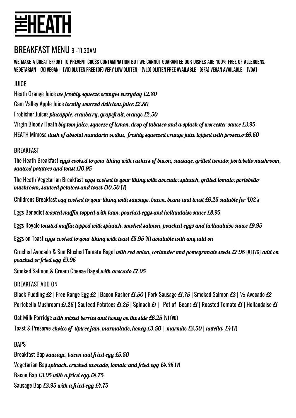# 岂HEATH

# BREAKFAST MENU 9-11.30AM

We make a GREAT effort to prevent cross contamination but we cannot guarantee our dishes are 100% free of allergens. VEGETARIAN = (V) VEGAN = (VG) GLUTEN FREE (GF) VERY LOW GLUTEN = (VLG) GLUTEN FREE AVAILABLE= (GFA) VEGAN AVAILABLE = (VGA)

JUICE

Heath Orange Juice we freshly squeeze oranges everyday £2.80 Cam Valley Apple Juice locally sourced delicious juice £2.80 Frobisher Juices pineapple, cranberry, grapefruit, orange £2.50 Virgin Bloody Heath big tom juice, squeeze of lemon, drop of tabasco and a splash of worcester sauce £3.95 HEATH Mimosa dash of absolut mandarin vodka, freshly squeezed orange juice topped with prosecco £6.50

#### **BREAKFAST**

The Heath Breakfast eggs cooked to your liking with rashers of bacon, sausage, grilled tomato, portobello mushroom, sauteed potatoes and toast £10.95

The Heath Vegetarian Breakfast *eggs cooked to your liking with avocado, spinach, grilled tomato, portobello* mushroom, sauteed potatoes and toast £10.50 (V)

Childrens Breakfast egg cooked to your liking with sausage, bacon, beans and toast £6.25 suitable for U12's

Eggs Benedict toasted muffin topped with ham, poached eggs and hollandaise sauce £8.95

Eggs Royale toasted muffin topped with spinach, smoked salmon, poached eggs and hollandaise sauce £9.95

Eggs on Toast eggs cooked to your liking with toast £5.95 (V) available with any add on

Crushed Avocado & Sun Blushed Tomato Bagel with red onion, coriander and pomegranate seeds £7.95 (V) (VG) add on poached or fried egg £9.95

Smoked Salmon & Cream Cheese Bagel with avocado £7.95

#### BREAKFAST ADD ON

Black Pudding £2 | Free Range Egg £2 | Bacon Rasher £1.50 | Pork Sausage £1.75 | Smoked Salmon £3 | 1/2 Avocado £2 Portobello Mushroom £1.25 | Sauteed Potatoes £1.25 | Spinach £1 | | Pot of Beans £1 | Roasted Tomato £1 | Hollandaise £1

Oat Milk Porridge with mixed berries and honey on the side £6.25 (V) (VG)

Toast & Preserve choice of tiptree jam, marmalade, honey £3.50 | marmite £3.50| nutella £4 (V)

#### **BAPS**

Breakfast Bap sausage, bacon and fried egg £5.50 Vegetarian Bap spinach, crushed avocado, tomato and fried egg £4.95 (V) Bacon Bap £3.95 with a fried egg £4.75 Sausage Bap £3.95 with a fried egg £4.75